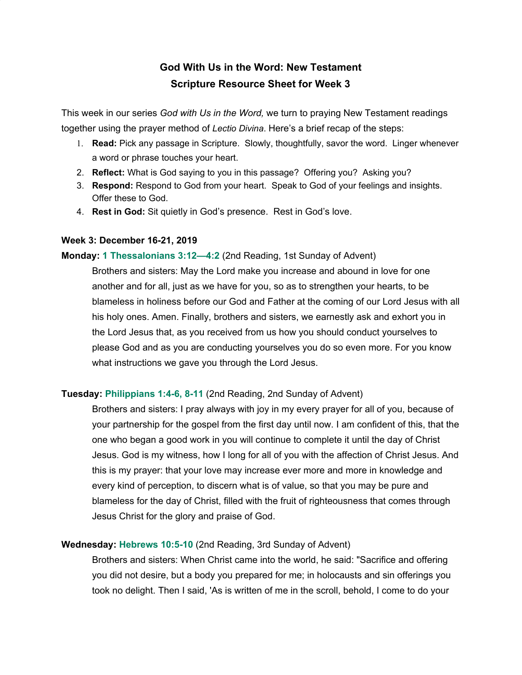# **God With Us in the Word: New Testament Scripture Resource Sheet for Week 3**

This week in our series *God with Us in the Word,* we turn to praying New Testament readings together using the prayer method of *Lectio Divina*. Here's a brief recap of the steps:

- 1. **Read:** Pick any passage in Scripture. Slowly, thoughtfully, savor the word. Linger whenever a word or phrase touches your heart.
- 2. **Reflect:** What is God saying to you in this passage? Offering you? Asking you?
- 3. **Respond:** Respond to God from your heart. Speak to God of your feelings and insights. Offer these to God.
- 4. **Rest in God:** Sit quietly in God's presence. Rest in God's love.

#### **Week 3: December 16-21, 2019**

#### **Monday: 1 [Thessalonians](http://usccb.org/bible/readings/bible/1thessalonians/3:12) 3:12—4:2** (2nd Reading, 1st Sunday of Advent)

Brothers and sisters: May the Lord make you increase and abound in love for one another and for all, just as we have for you, so as to strengthen your hearts, to be blameless in holiness before our God and Father at the coming of our Lord Jesus with all his holy ones. Amen. Finally, brothers and sisters, we earnestly ask and exhort you in the Lord Jesus that, as you received from us how you should conduct yourselves to please God and as you are conducting yourselves you do so even more. For you know what instructions we gave you through the Lord Jesus.

## **Tuesday: [Philippians](http://usccb.org/bible/readings/bible/Philippians/1:4) 1:4-6, 8-11** (2nd Reading, 2nd Sunday of Advent)

Brothers and sisters: I pray always with joy in my every prayer for all of you, because of your partnership for the gospel from the first day until now. I am confident of this, that the one who began a good work in you will continue to complete it until the day of Christ Jesus. God is my witness, how I long for all of you with the affection of Christ Jesus. And this is my prayer: that your love may increase ever more and more in knowledge and every kind of perception, to discern what is of value, so that you may be pure and blameless for the day of Christ, filled with the fruit of righteousness that comes through Jesus Christ for the glory and praise of God.

## **Wednesday: [Hebrews](http://usccb.org/bible/readings/bible/hebrews/10:5) 10:5-10** (2nd Reading, 3rd Sunday of Advent)

Brothers and sisters: When Christ came into the world, he said: "Sacrifice and offering you did not desire, but a body you prepared for me; in holocausts and sin offerings you took no delight. Then I said, 'As is written of me in the scroll, behold, I come to do your